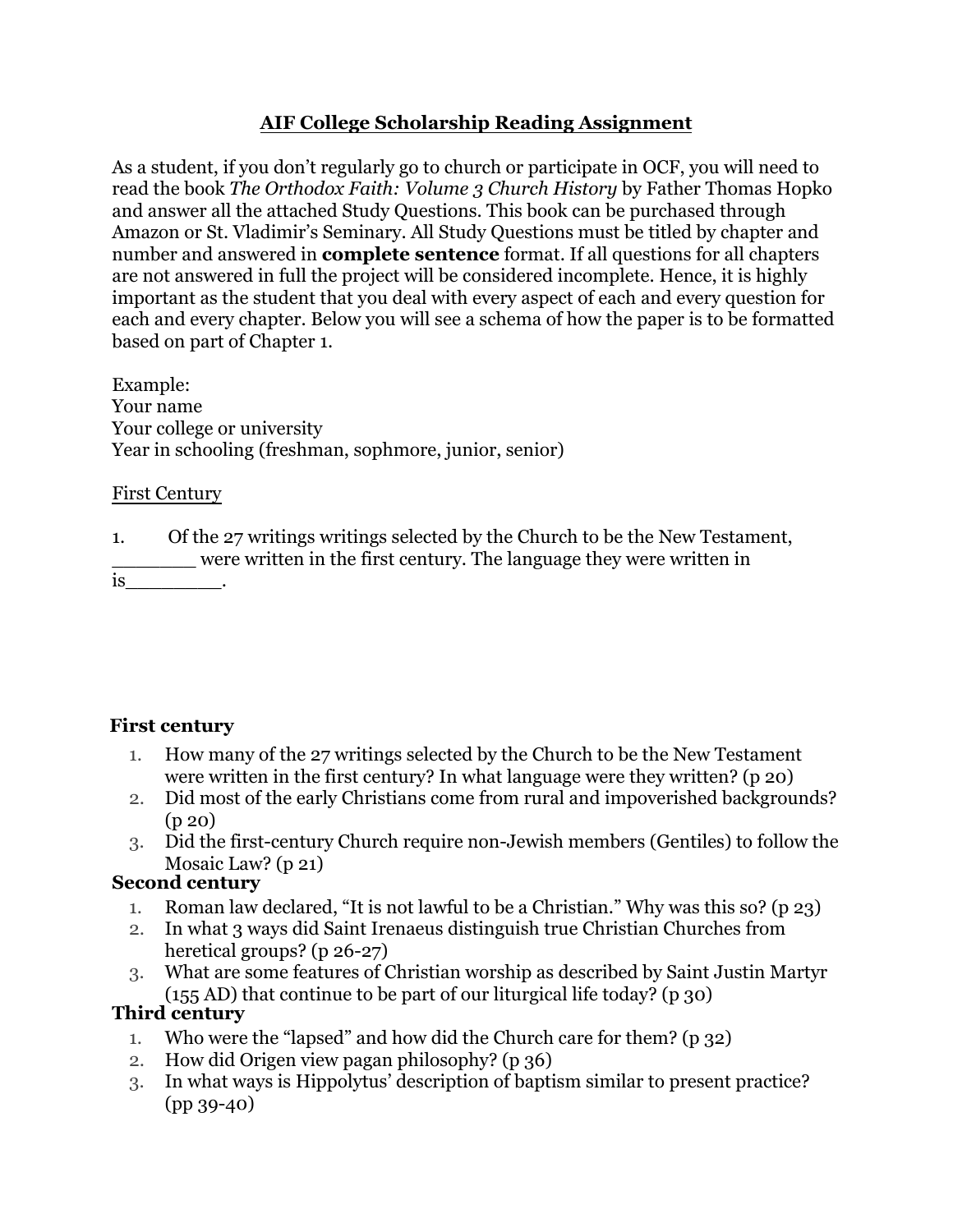#### **AIF College Scholarship Reading Assignment**

As a student, if you don't regularly go to church or participate in OCF, you will need to read the book *The Orthodox Faith: Volume 3 Church History* by Father Thomas Hopko and answer all the attached Study Questions. This book can be purchased through Amazon or St. Vladimir's Seminary. All Study Questions must be titled by chapter and number and answered in **complete sentence** format. If all questions for all chapters are not answered in full the project will be considered incomplete. Hence, it is highly important as the student that you deal with every aspect of each and every question for each and every chapter. Below you will see a schema of how the paper is to be formatted based on part of Chapter 1.

Example: Your name Your college or university Year in schooling (freshman, sophmore, junior, senior)

#### First Century

1. Of the 27 writings writings selected by the Church to be the New Testament, \_\_\_\_\_\_\_ were written in the first century. The language they were written in

is\_\_\_\_\_\_\_\_.

#### **First century**

- 1. How many of the 27 writings selected by the Church to be the New Testament were written in the first century? In what language were they written? (p 20)
- 2. Did most of the early Christians come from rural and impoverished backgrounds? (p 20)
- 3. Did the first-century Church require non-Jewish members (Gentiles) to follow the Mosaic Law? (p 21)

#### **Second century**

- 1. Roman law declared, "It is not lawful to be a Christian." Why was this so? (p 23)
- 2. In what 3 ways did Saint Irenaeus distinguish true Christian Churches from heretical groups? (p 26-27)
- 3. What are some features of Christian worship as described by Saint Justin Martyr (155 AD) that continue to be part of our liturgical life today? (p 30)

#### **Third century**

- 1. Who were the "lapsed" and how did the Church care for them? (p 32)
- 2. How did Origen view pagan philosophy? (p 36)
- 3. In what ways is Hippolytus' description of baptism similar to present practice? (pp 39-40)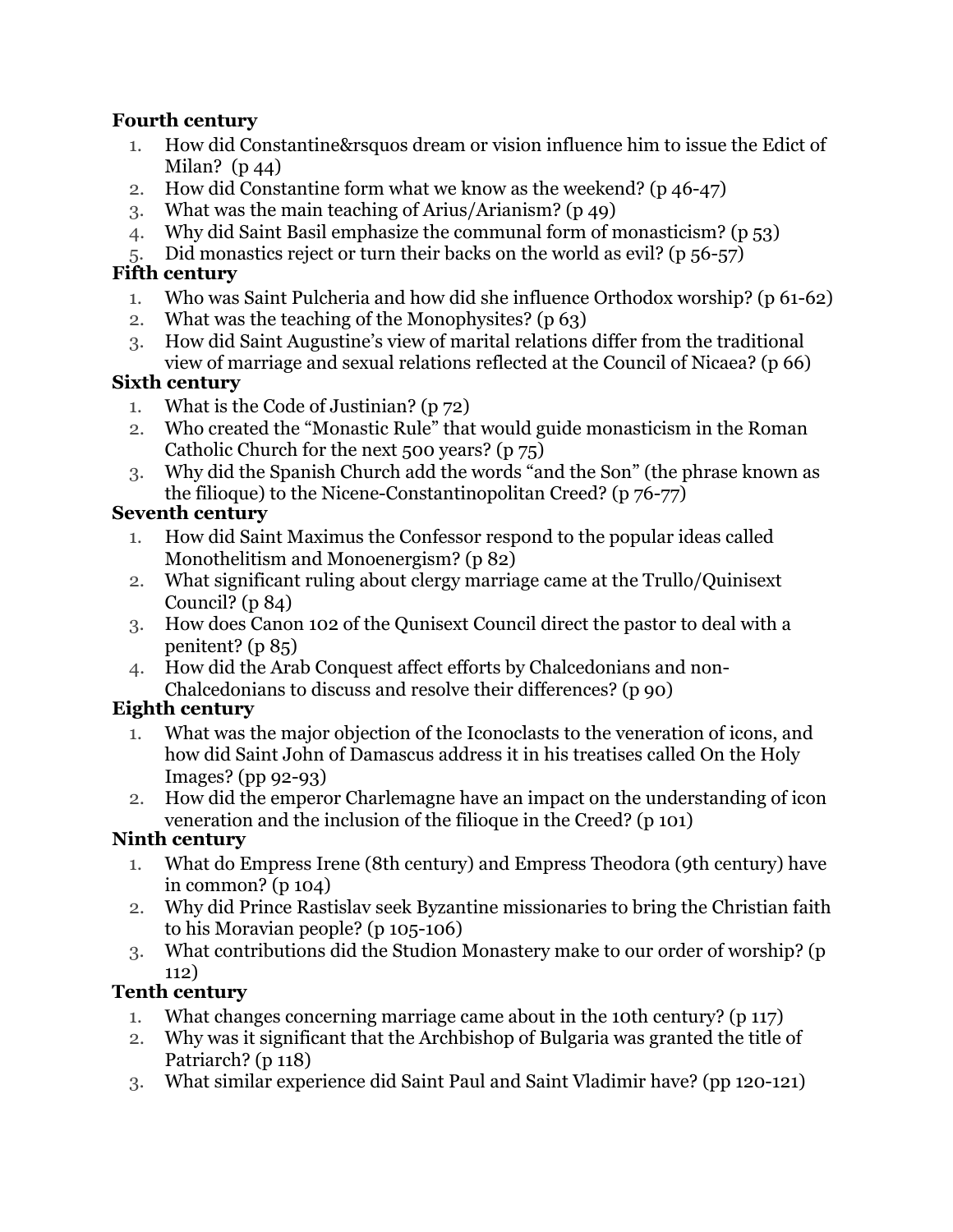#### **Fourth century**

- 1. How did Constantine&rsquos dream or vision influence him to issue the Edict of Milan?  $(p_44)$
- 2. How did Constantine form what we know as the weekend? (p 46-47)
- 3. What was the main teaching of Arius/Arianism? (p 49)
- 4. Why did Saint Basil emphasize the communal form of monasticism? (p 53)
- 5. Did monastics reject or turn their backs on the world as evil? (p 56-57)

#### **Fifth century**

- 1. Who was Saint Pulcheria and how did she influence Orthodox worship? (p 61-62)
- 2. What was the teaching of the Monophysites? (p 63)
- 3. How did Saint Augustine's view of marital relations differ from the traditional view of marriage and sexual relations reflected at the Council of Nicaea? (p 66)

#### **Sixth century**

- 1. What is the Code of Justinian? (p 72)
- 2. Who created the "Monastic Rule" that would guide monasticism in the Roman Catholic Church for the next 500 years? (p 75)
- 3. Why did the Spanish Church add the words "and the Son" (the phrase known as the filioque) to the Nicene-Constantinopolitan Creed? (p 76-77)

### **Seventh century**

- 1. How did Saint Maximus the Confessor respond to the popular ideas called Monothelitism and Monoenergism? (p 82)
- 2. What significant ruling about clergy marriage came at the Trullo/Quinisext Council?  $(p 84)$
- 3. How does Canon 102 of the Qunisext Council direct the pastor to deal with a penitent? (p 85)
- 4. How did the Arab Conquest affect efforts by Chalcedonians and non-Chalcedonians to discuss and resolve their differences? (p 90)

### **Eighth century**

- 1. What was the major objection of the Iconoclasts to the veneration of icons, and how did Saint John of Damascus address it in his treatises called On the Holy Images? (pp 92-93)
- 2. How did the emperor Charlemagne have an impact on the understanding of icon veneration and the inclusion of the filioque in the Creed? (p 101)

### **Ninth century**

- 1. What do Empress Irene (8th century) and Empress Theodora (9th century) have in common? (p 104)
- 2. Why did Prince Rastislav seek Byzantine missionaries to bring the Christian faith to his Moravian people? (p 105-106)
- 3. What contributions did the Studion Monastery make to our order of worship? (p 112)

### **Tenth century**

- 1. What changes concerning marriage came about in the 10th century? (p 117)
- 2. Why was it significant that the Archbishop of Bulgaria was granted the title of Patriarch? (p 118)
- 3. What similar experience did Saint Paul and Saint Vladimir have? (pp 120-121)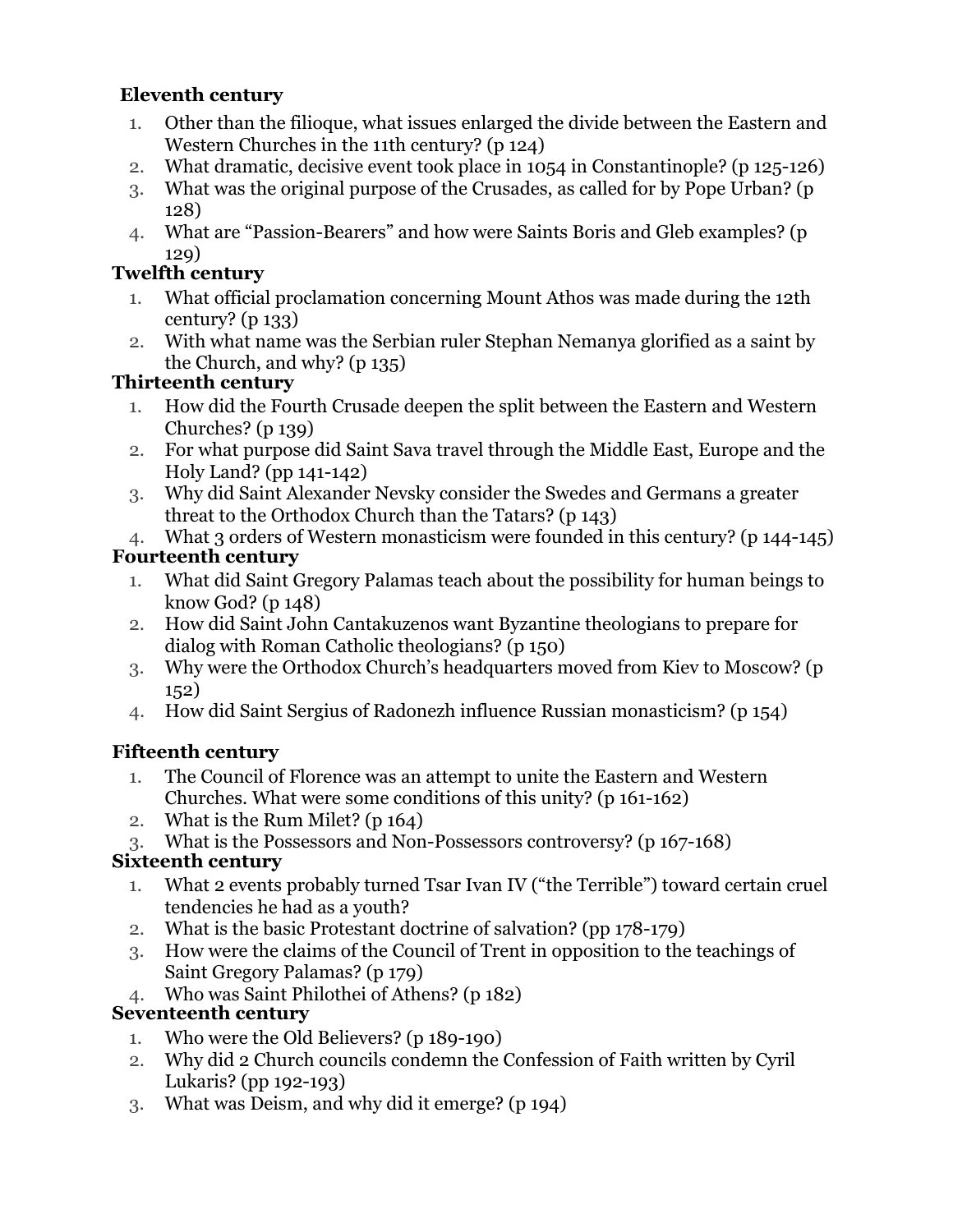## **Eleventh century**

- 1. Other than the filioque, what issues enlarged the divide between the Eastern and Western Churches in the 11th century? (p 124)
- 2. What dramatic, decisive event took place in 1054 in Constantinople? (p 125-126)
- 3. What was the original purpose of the Crusades, as called for by Pope Urban? (p 128)
- 4. What are "Passion-Bearers" and how were Saints Boris and Gleb examples? (p 129)

### **Twelfth century**

- 1. What official proclamation concerning Mount Athos was made during the 12th century? (p 133)
- 2. With what name was the Serbian ruler Stephan Nemanya glorified as a saint by the Church, and why? (p 135)

### **Thirteenth century**

- 1. How did the Fourth Crusade deepen the split between the Eastern and Western Churches? (p 139)
- 2. For what purpose did Saint Sava travel through the Middle East, Europe and the Holy Land? (pp 141-142)
- 3. Why did Saint Alexander Nevsky consider the Swedes and Germans a greater threat to the Orthodox Church than the Tatars? (p 143)
- 4. What 3 orders of Western monasticism were founded in this century? (p 144-145)

## **Fourteenth century**

- 1. What did Saint Gregory Palamas teach about the possibility for human beings to know God? (p 148)
- 2. How did Saint John Cantakuzenos want Byzantine theologians to prepare for dialog with Roman Catholic theologians? (p 150)
- 3. Why were the Orthodox Church's headquarters moved from Kiev to Moscow? (p 152)
- 4. How did Saint Sergius of Radonezh influence Russian monasticism? (p 154)

# **Fifteenth century**

- 1. The Council of Florence was an attempt to unite the Eastern and Western Churches. What were some conditions of this unity? (p 161-162)
- 2. What is the Rum Milet? (p 164)
- 3. What is the Possessors and Non-Possessors controversy? (p 167-168)

# **Sixteenth century**

- 1. What 2 events probably turned Tsar Ivan IV ("the Terrible") toward certain cruel tendencies he had as a youth?
- 2. What is the basic Protestant doctrine of salvation? (pp 178-179)
- 3. How were the claims of the Council of Trent in opposition to the teachings of Saint Gregory Palamas? (p 179)
- 4. Who was Saint Philothei of Athens? (p 182)

# **Seventeenth century**

- 1. Who were the Old Believers? (p 189-190)
- 2. Why did 2 Church councils condemn the Confession of Faith written by Cyril Lukaris? (pp 192-193)
- 3. What was Deism, and why did it emerge? (p 194)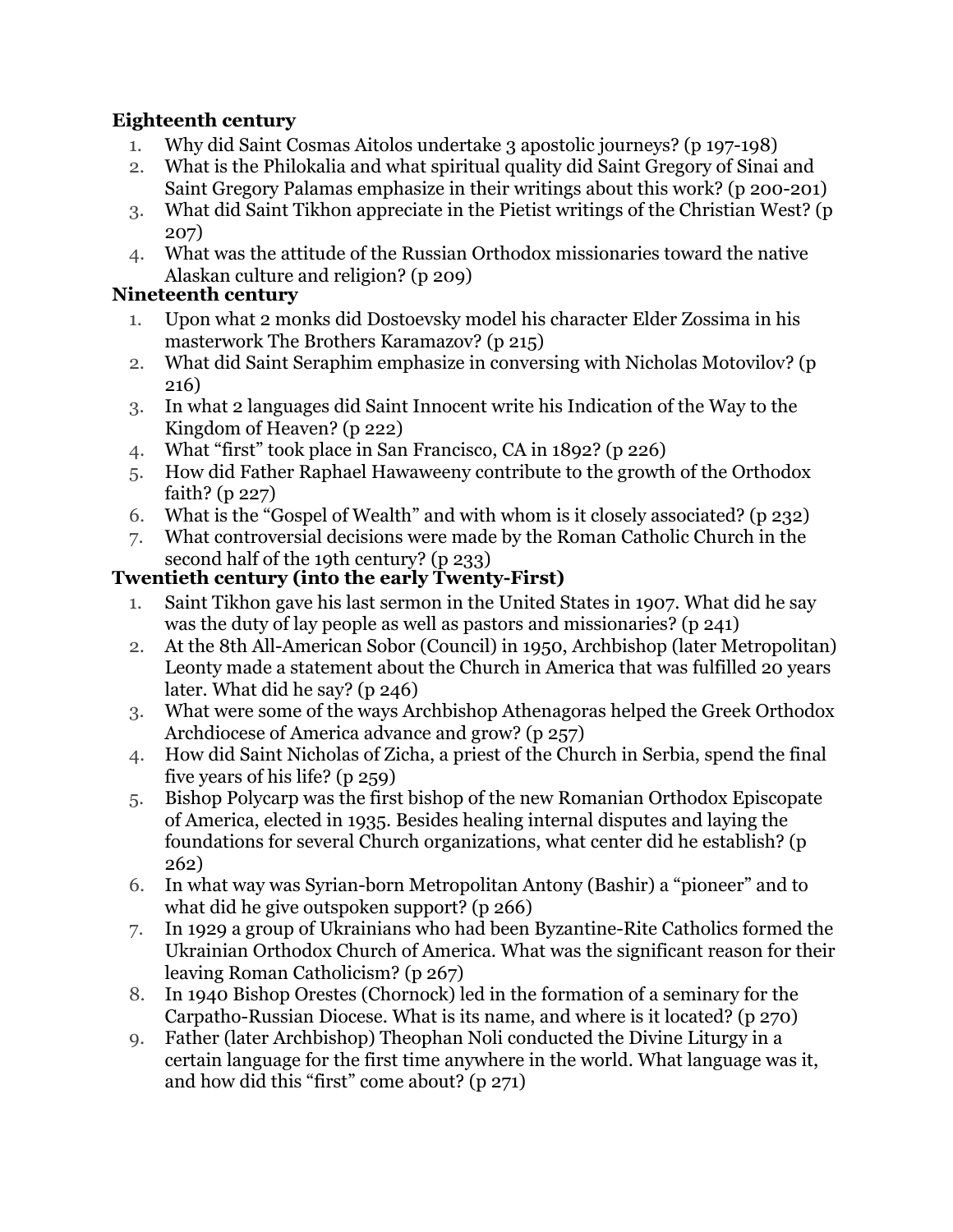### **Eighteenth century**

- 1. Why did Saint Cosmas Aitolos undertake 3 apostolic journeys? (p 197-198)
- 2. What is the Philokalia and what spiritual quality did Saint Gregory of Sinai and Saint Gregory Palamas emphasize in their writings about this work? (p 200-201)
- 3. What did Saint Tikhon appreciate in the Pietist writings of the Christian West? (p 207)
- 4. What was the attitude of the Russian Orthodox missionaries toward the native Alaskan culture and religion? (p 209)

### **Nineteenth century**

- 1. Upon what 2 monks did Dostoevsky model his character Elder Zossima in his masterwork The Brothers Karamazov? (p 215)
- 2. What did Saint Seraphim emphasize in conversing with Nicholas Motovilov? (p 216)
- 3. In what 2 languages did Saint Innocent write his Indication of the Way to the Kingdom of Heaven? (p 222)
- 4. What "first" took place in San Francisco, CA in 1892? (p 226)
- 5. How did Father Raphael Hawaweeny contribute to the growth of the Orthodox faith? (p 227)
- 6. What is the "Gospel of Wealth" and with whom is it closely associated? (p 232)
- 7. What controversial decisions were made by the Roman Catholic Church in the second half of the 19th century? (p 233)

## **Twentieth century (into the early Twenty-First)**

- 1. Saint Tikhon gave his last sermon in the United States in 1907. What did he say was the duty of lay people as well as pastors and missionaries? (p 241)
- 2. At the 8th All-American Sobor (Council) in 1950, Archbishop (later Metropolitan) Leonty made a statement about the Church in America that was fulfilled 20 years later. What did he say? (p 246)
- 3. What were some of the ways Archbishop Athenagoras helped the Greek Orthodox Archdiocese of America advance and grow? (p 257)
- 4. How did Saint Nicholas of Zicha, a priest of the Church in Serbia, spend the final five years of his life? (p 259)
- 5. Bishop Polycarp was the first bishop of the new Romanian Orthodox Episcopate of America, elected in 1935. Besides healing internal disputes and laying the foundations for several Church organizations, what center did he establish? (p 262)
- 6. In what way was Syrian-born Metropolitan Antony (Bashir) a "pioneer" and to what did he give outspoken support? (p 266)
- 7. In 1929 a group of Ukrainians who had been Byzantine-Rite Catholics formed the Ukrainian Orthodox Church of America. What was the significant reason for their leaving Roman Catholicism? (p 267)
- 8. In 1940 Bishop Orestes (Chornock) led in the formation of a seminary for the Carpatho-Russian Diocese. What is its name, and where is it located? (p 270)
- 9. Father (later Archbishop) Theophan Noli conducted the Divine Liturgy in a certain language for the first time anywhere in the world. What language was it, and how did this "first" come about? (p 271)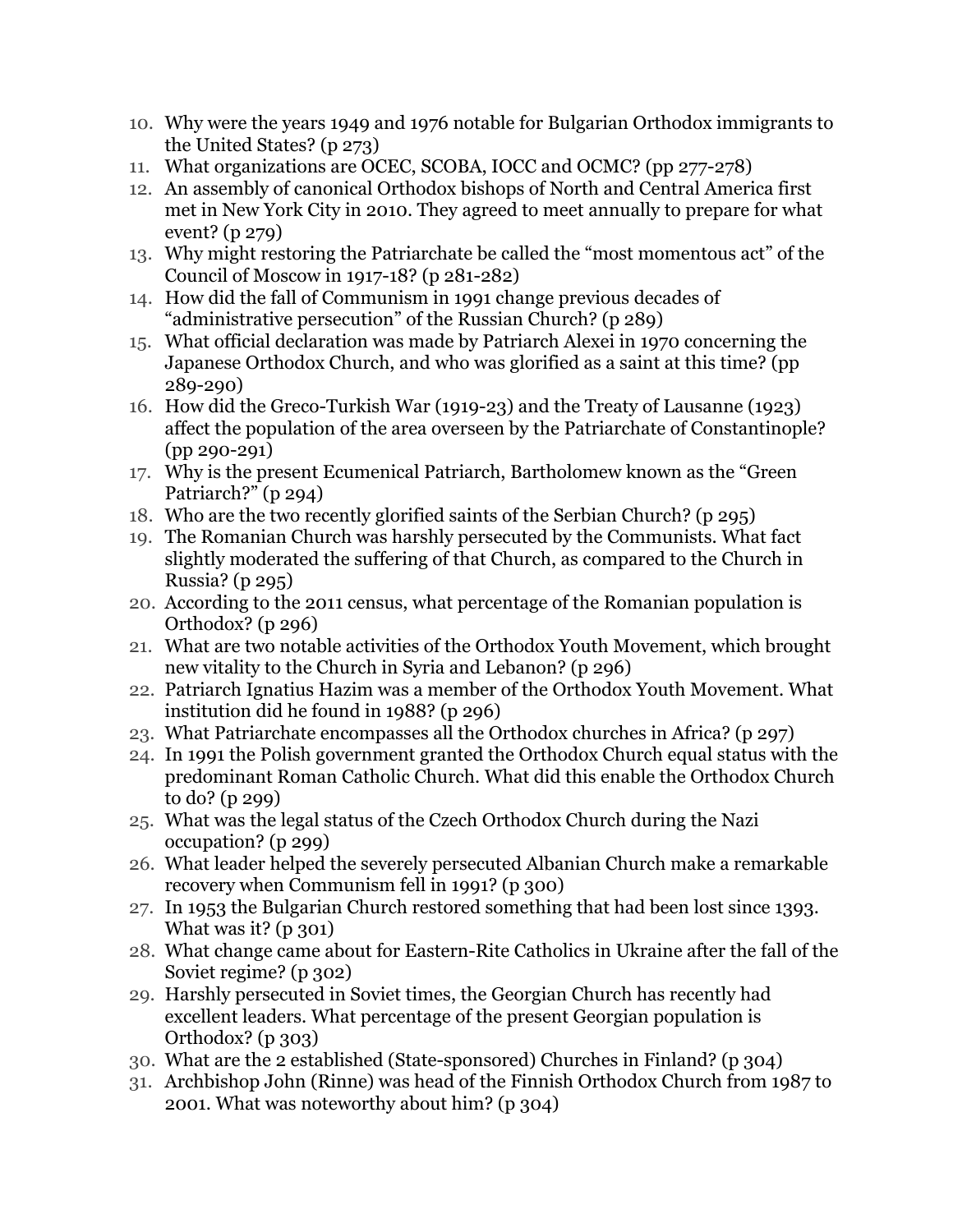- 10. Why were the years 1949 and 1976 notable for Bulgarian Orthodox immigrants to the United States? (p 273)
- 11. What organizations are OCEC, SCOBA, IOCC and OCMC? (pp 277-278)
- 12. An assembly of canonical Orthodox bishops of North and Central America first met in New York City in 2010. They agreed to meet annually to prepare for what event? (p 279)
- 13. Why might restoring the Patriarchate be called the "most momentous act" of the Council of Moscow in 1917-18? (p 281-282)
- 14. How did the fall of Communism in 1991 change previous decades of "administrative persecution" of the Russian Church? (p 289)
- 15. What official declaration was made by Patriarch Alexei in 1970 concerning the Japanese Orthodox Church, and who was glorified as a saint at this time? (pp 289-290)
- 16. How did the Greco-Turkish War (1919-23) and the Treaty of Lausanne (1923) affect the population of the area overseen by the Patriarchate of Constantinople? (pp 290-291)
- 17. Why is the present Ecumenical Patriarch, Bartholomew known as the "Green Patriarch?" (p 294)
- 18. Who are the two recently glorified saints of the Serbian Church? (p 295)
- 19. The Romanian Church was harshly persecuted by the Communists. What fact slightly moderated the suffering of that Church, as compared to the Church in Russia? (p 295)
- 20. According to the 2011 census, what percentage of the Romanian population is Orthodox? (p 296)
- 21. What are two notable activities of the Orthodox Youth Movement, which brought new vitality to the Church in Syria and Lebanon? (p 296)
- 22. Patriarch Ignatius Hazim was a member of the Orthodox Youth Movement. What institution did he found in 1988? (p 296)
- 23. What Patriarchate encompasses all the Orthodox churches in Africa? (p 297)
- 24. In 1991 the Polish government granted the Orthodox Church equal status with the predominant Roman Catholic Church. What did this enable the Orthodox Church to do? (p 299)
- 25. What was the legal status of the Czech Orthodox Church during the Nazi occupation? (p 299)
- 26. What leader helped the severely persecuted Albanian Church make a remarkable recovery when Communism fell in 1991? (p 300)
- 27. In 1953 the Bulgarian Church restored something that had been lost since 1393. What was it?  $(p 301)$
- 28. What change came about for Eastern-Rite Catholics in Ukraine after the fall of the Soviet regime? (p 302)
- 29. Harshly persecuted in Soviet times, the Georgian Church has recently had excellent leaders. What percentage of the present Georgian population is Orthodox? (p 303)
- 30. What are the 2 established (State-sponsored) Churches in Finland? (p 304)
- 31. Archbishop John (Rinne) was head of the Finnish Orthodox Church from 1987 to 2001. What was noteworthy about him? (p 304)